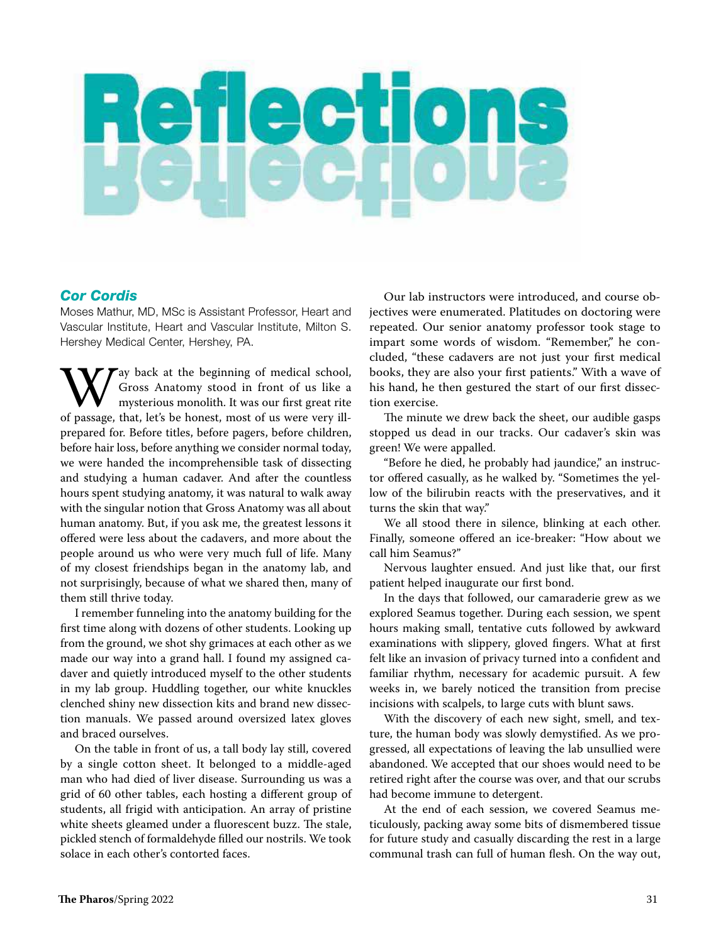## Cor Cordis

Moses Mathur, MD, MSc is Assistant Professor, Heart and Vascular Institute, Heart and Vascular Institute, Milton S. Hershey Medical Center, Hershey, PA.

W ay back at the beginning of medical school,<br>Gross Anatomy stood in front of us like a<br>mysterious monolith. It was our first great rite<br>of passage, that, let's be honest, most of us were very illay back at the beginning of medical school, Gross Anatomy stood in front of us like a mysterious monolith. It was our first great rite prepared for. Before titles, before pagers, before children, before hair loss, before anything we consider normal today, we were handed the incomprehensible task of dissecting and studying a human cadaver. And after the countless hours spent studying anatomy, it was natural to walk away with the singular notion that Gross Anatomy was all about human anatomy. But, if you ask me, the greatest lessons it offered were less about the cadavers, and more about the people around us who were very much full of life. Many of my closest friendships began in the anatomy lab, and not surprisingly, because of what we shared then, many of them still thrive today.

I remember funneling into the anatomy building for the first time along with dozens of other students. Looking up from the ground, we shot shy grimaces at each other as we made our way into a grand hall. I found my assigned cadaver and quietly introduced myself to the other students in my lab group. Huddling together, our white knuckles clenched shiny new dissection kits and brand new dissection manuals. We passed around oversized latex gloves and braced ourselves.

On the table in front of us, a tall body lay still, covered by a single cotton sheet. It belonged to a middle-aged man who had died of liver disease. Surrounding us was a grid of 60 other tables, each hosting a different group of students, all frigid with anticipation. An array of pristine white sheets gleamed under a fluorescent buzz. The stale, pickled stench of formaldehyde filled our nostrils. We took solace in each other's contorted faces.

Our lab instructors were introduced, and course objectives were enumerated. Platitudes on doctoring were repeated. Our senior anatomy professor took stage to impart some words of wisdom. "Remember," he concluded, "these cadavers are not just your first medical books, they are also your first patients." With a wave of his hand, he then gestured the start of our first dissection exercise.

The minute we drew back the sheet, our audible gasps stopped us dead in our tracks. Our cadaver's skin was green! We were appalled.

"Before he died, he probably had jaundice," an instructor offered casually, as he walked by. "Sometimes the yellow of the bilirubin reacts with the preservatives, and it turns the skin that way."

We all stood there in silence, blinking at each other. Finally, someone offered an ice-breaker: "How about we call him Seamus?"

Nervous laughter ensued. And just like that, our first patient helped inaugurate our first bond.

In the days that followed, our camaraderie grew as we explored Seamus together. During each session, we spent hours making small, tentative cuts followed by awkward examinations with slippery, gloved fingers. What at first felt like an invasion of privacy turned into a confident and familiar rhythm, necessary for academic pursuit. A few weeks in, we barely noticed the transition from precise incisions with scalpels, to large cuts with blunt saws.

With the discovery of each new sight, smell, and texture, the human body was slowly demystified. As we progressed, all expectations of leaving the lab unsullied were abandoned. We accepted that our shoes would need to be retired right after the course was over, and that our scrubs had become immune to detergent.

At the end of each session, we covered Seamus meticulously, packing away some bits of dismembered tissue for future study and casually discarding the rest in a large communal trash can full of human flesh. On the way out,